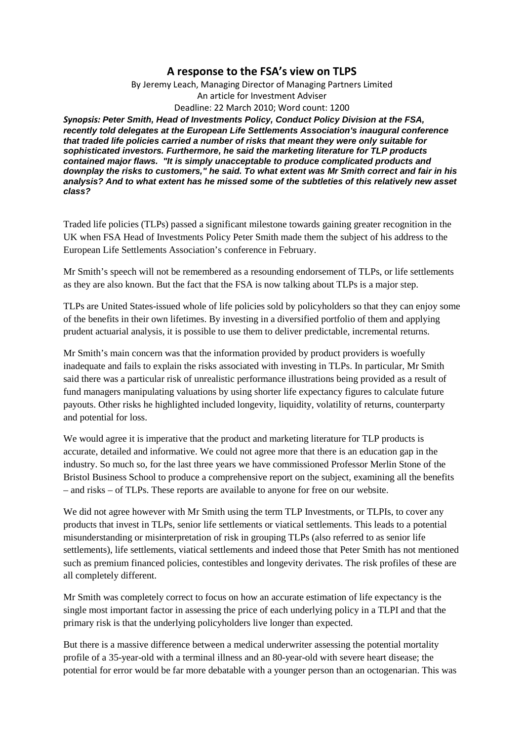## **A response to the FSA's view on TLPS**

By Jeremy Leach, Managing Director of Managing Partners Limited An article for Investment Adviser Deadline: 22 March 2010; Word count: 1200

*Synopsis: Peter Smith, Head of Investments Policy, Conduct Policy Division at the FSA, recently told delegates at the European Life Settlements Association's inaugural conference that traded life policies carried a number of risks that meant they were only suitable for sophisticated investors. Furthermore, he said the marketing literature for TLP products contained major flaws. "It is simply unacceptable to produce complicated products and downplay the risks to customers," he said. To what extent was Mr Smith correct and fair in his analysis? And to what extent has he missed some of the subtleties of this relatively new asset class?* 

Traded life policies (TLPs) passed a significant milestone towards gaining greater recognition in the UK when FSA Head of Investments Policy Peter Smith made them the subject of his address to the European Life Settlements Association's conference in February.

Mr Smith's speech will not be remembered as a resounding endorsement of TLPs, or life settlements as they are also known. But the fact that the FSA is now talking about TLPs is a major step.

TLPs are United States-issued whole of life policies sold by policyholders so that they can enjoy some of the benefits in their own lifetimes. By investing in a diversified portfolio of them and applying prudent actuarial analysis, it is possible to use them to deliver predictable, incremental returns.

Mr Smith's main concern was that the information provided by product providers is woefully inadequate and fails to explain the risks associated with investing in TLPs. In particular, Mr Smith said there was a particular risk of unrealistic performance illustrations being provided as a result of fund managers manipulating valuations by using shorter life expectancy figures to calculate future payouts. Other risks he highlighted included longevity, liquidity, volatility of returns, counterparty and potential for loss.

We would agree it is imperative that the product and marketing literature for TLP products is accurate, detailed and informative. We could not agree more that there is an education gap in the industry. So much so, for the last three years we have commissioned Professor Merlin Stone of the Bristol Business School to produce a comprehensive report on the subject, examining all the benefits – and risks – of TLPs. These reports are available to anyone for free on our website.

We did not agree however with Mr Smith using the term TLP Investments, or TLPIs, to cover any products that invest in TLPs, senior life settlements or viatical settlements. This leads to a potential misunderstanding or misinterpretation of risk in grouping TLPs (also referred to as senior life settlements), life settlements, viatical settlements and indeed those that Peter Smith has not mentioned such as premium financed policies, contestibles and longevity derivates. The risk profiles of these are all completely different.

Mr Smith was completely correct to focus on how an accurate estimation of life expectancy is the single most important factor in assessing the price of each underlying policy in a TLPI and that the primary risk is that the underlying policyholders live longer than expected.

But there is a massive difference between a medical underwriter assessing the potential mortality profile of a 35-year-old with a terminal illness and an 80-year-old with severe heart disease; the potential for error would be far more debatable with a younger person than an octogenarian. This was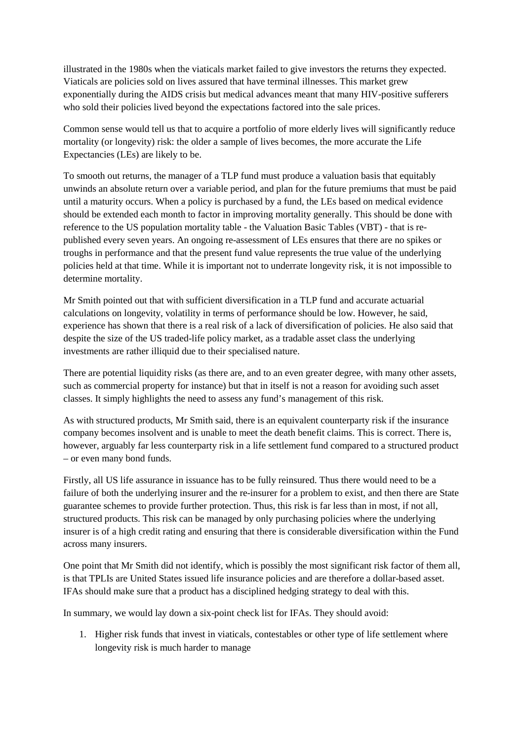illustrated in the 1980s when the viaticals market failed to give investors the returns they expected. Viaticals are policies sold on lives assured that have terminal illnesses. This market grew exponentially during the AIDS crisis but medical advances meant that many HIV-positive sufferers who sold their policies lived beyond the expectations factored into the sale prices.

Common sense would tell us that to acquire a portfolio of more elderly lives will significantly reduce mortality (or longevity) risk: the older a sample of lives becomes, the more accurate the Life Expectancies (LEs) are likely to be.

To smooth out returns, the manager of a TLP fund must produce a valuation basis that equitably unwinds an absolute return over a variable period, and plan for the future premiums that must be paid until a maturity occurs. When a policy is purchased by a fund, the LEs based on medical evidence should be extended each month to factor in improving mortality generally. This should be done with reference to the US population mortality table - the Valuation Basic Tables (VBT) - that is republished every seven years. An ongoing re-assessment of LEs ensures that there are no spikes or troughs in performance and that the present fund value represents the true value of the underlying policies held at that time. While it is important not to underrate longevity risk, it is not impossible to determine mortality.

Mr Smith pointed out that with sufficient diversification in a TLP fund and accurate actuarial calculations on longevity, volatility in terms of performance should be low. However, he said, experience has shown that there is a real risk of a lack of diversification of policies. He also said that despite the size of the US traded-life policy market, as a tradable asset class the underlying investments are rather illiquid due to their specialised nature.

There are potential liquidity risks (as there are, and to an even greater degree, with many other assets, such as commercial property for instance) but that in itself is not a reason for avoiding such asset classes. It simply highlights the need to assess any fund's management of this risk.

As with structured products, Mr Smith said, there is an equivalent counterparty risk if the insurance company becomes insolvent and is unable to meet the death benefit claims. This is correct. There is, however, arguably far less counterparty risk in a life settlement fund compared to a structured product – or even many bond funds.

Firstly, all US life assurance in issuance has to be fully reinsured. Thus there would need to be a failure of both the underlying insurer and the re-insurer for a problem to exist, and then there are State guarantee schemes to provide further protection. Thus, this risk is far less than in most, if not all, structured products. This risk can be managed by only purchasing policies where the underlying insurer is of a high credit rating and ensuring that there is considerable diversification within the Fund across many insurers.

One point that Mr Smith did not identify, which is possibly the most significant risk factor of them all, is that TPLIs are United States issued life insurance policies and are therefore a dollar-based asset. IFAs should make sure that a product has a disciplined hedging strategy to deal with this.

In summary, we would lay down a six-point check list for IFAs. They should avoid:

1. Higher risk funds that invest in viaticals, contestables or other type of life settlement where longevity risk is much harder to manage